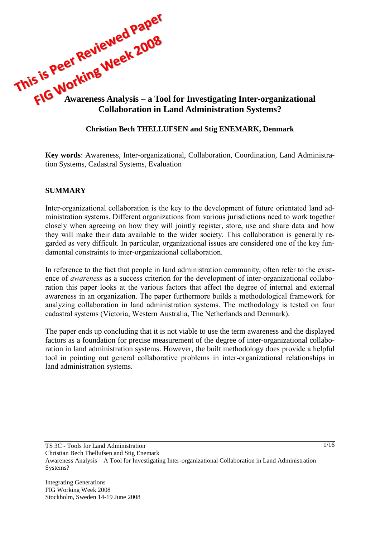

# **Christian Bech THELLUFSEN and Stig ENEMARK, Denmark**

**Key words**: Awareness, Inter-organizational, Collaboration, Coordination, Land Administration Systems, Cadastral Systems, Evaluation

# **SUMMARY**

Inter-organizational collaboration is the key to the development of future orientated land administration systems. Different organizations from various jurisdictions need to work together closely when agreeing on how they will jointly register, store, use and share data and how they will make their data available to the wider society. This collaboration is generally regarded as very difficult. In particular, organizational issues are considered one of the key fundamental constraints to inter-organizational collaboration.

In reference to the fact that people in land administration community, often refer to the existence of *awareness* as a success criterion for the development of inter-organizational collaboration this paper looks at the various factors that affect the degree of internal and external awareness in an organization. The paper furthermore builds a methodological framework for analyzing collaboration in land administration systems. The methodology is tested on four cadastral systems (Victoria, Western Australia, The Netherlands and Denmark).

The paper ends up concluding that it is not viable to use the term awareness and the displayed factors as a foundation for precise measurement of the degree of inter-organizational collaboration in land administration systems. However, the built methodology does provide a helpful tool in pointing out general collaborative problems in inter-organizational relationships in land administration systems.

Christian Bech Thellufsen and Stig Enemark

Awareness Analysis – A Tool for Investigating Inter-organizational Collaboration in Land Administration Systems?

Integrating Generations FIG Working Week 2008 Stockholm, Sweden 14-19 June 2008

TS 3C - Tools for Land Administration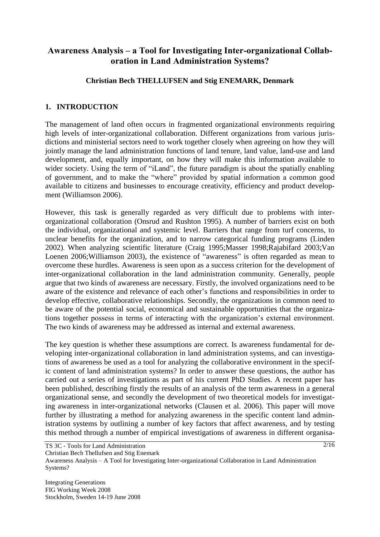# **Awareness Analysis – a Tool for Investigating Inter-organizational Collaboration in Land Administration Systems?**

### **Christian Bech THELLUFSEN and Stig ENEMARK, Denmark**

### **1. INTRODUCTION**

The management of land often occurs in fragmented organizational environments requiring high levels of inter-organizational collaboration. Different organizations from various jurisdictions and ministerial sectors need to work together closely when agreeing on how they will jointly manage the land administration functions of land tenure, land value, land-use and land development, and, equally important, on how they will make this information available to wider society. Using the term of "iLand", the future paradigm is about the spatially enabling of government, and to make the "where" provided by spatial information a common good available to citizens and businesses to encourage creativity, efficiency and product development (Williamson 2006).

However, this task is generally regarded as very difficult due to problems with interorganizational collaboration (Onsrud and Rushton 1995). A number of barriers exist on both the individual, organizational and systemic level. Barriers that range from turf concerns, to unclear benefits for the organization, and to narrow categorical funding programs (Linden 2002). When analyzing scientific literature (Craig 1995;Masser 1998;Rajabifard 2003;Van Loenen 2006;Williamson 2003), the existence of "awareness" is often regarded as mean to overcome these hurdles. Awareness is seen upon as a success criterion for the development of inter-organizational collaboration in the land administration community. Generally, people argue that two kinds of awareness are necessary. Firstly, the involved organizations need to be aware of the existence and relevance of each other's functions and responsibilities in order to develop effective, collaborative relationships. Secondly, the organizations in common need to be aware of the potential social, economical and sustainable opportunities that the organizations together possess in terms of interacting with the organization's external environment. The two kinds of awareness may be addressed as internal and external awareness.

The key question is whether these assumptions are correct. Is awareness fundamental for developing inter-organizational collaboration in land administration systems, and can investigations of awareness be used as a tool for analyzing the collaborative environment in the specific content of land administration systems? In order to answer these questions, the author has carried out a series of investigations as part of his current PhD Studies. A recent paper has been published, describing firstly the results of an analysis of the term awareness in a general organizational sense, and secondly the development of two theoretical models for investigating awareness in inter-organizational networks (Clausen et al. 2006). This paper will move further by illustrating a method for analyzing awareness in the specific content land administration systems by outlining a number of key factors that affect awareness, and by testing this method through a number of empirical investigations of awareness in different organisa-

Christian Bech Thellufsen and Stig Enemark

Integrating Generations FIG Working Week 2008 Stockholm, Sweden 14-19 June 2008

TS 3C - Tools for Land Administration

Awareness Analysis – A Tool for Investigating Inter-organizational Collaboration in Land Administration Systems?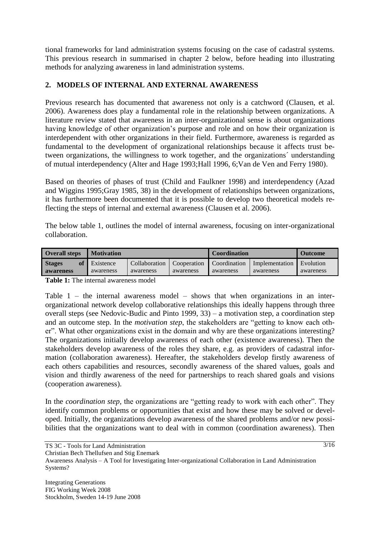tional frameworks for land administration systems focusing on the case of cadastral systems. This previous research in summarised in chapter 2 below, before heading into illustrating methods for analyzing awareness in land administration systems.

## **2. MODELS OF INTERNAL AND EXTERNAL AWARENESS**

Previous research has documented that awareness not only is a catchword (Clausen, et al. 2006). Awareness does play a fundamental role in the relationship between organizations. A literature review stated that awareness in an inter-organizational sense is about organizations having knowledge of other organization's purpose and role and on how their organization is interdependent with other organizations in their field. Furthermore, awareness is regarded as fundamental to the development of organizational relationships because it affects trust between organizations, the willingness to work together, and the organizations´ understanding of mutual interdependency (Alter and Hage 1993;Hall 1996, 6;Van de Ven and Ferry 1980).

Based on theories of phases of trust (Child and Faulkner 1998) and interdependency (Azad and Wiggins 1995;Gray 1985, 38) in the development of relationships between organizations, it has furthermore been documented that it is possible to develop two theoretical models reflecting the steps of internal and external awareness (Clausen et al. 2006).

The below table 1, outlines the model of internal awareness, focusing on inter-organizational collaboration.

| <b>Overall steps</b> | <b>Motivation</b> |               |             | <b>Coordination</b> | <b>Outcome</b> |           |
|----------------------|-------------------|---------------|-------------|---------------------|----------------|-----------|
| <b>Stages</b>        | Existence         | Collaboration | Cooperation | Coordination        | Implementation | Evolution |
| awareness            | awareness         | awareness     | awareness   | awareness           | awareness      | awareness |

**Table 1:** The internal awareness model

Table  $1$  – the internal awareness model – shows that when organizations in an interorganizational network develop collaborative relationships this ideally happens through three overall steps (see Nedovic-Budic and Pinto 1999, 33) – a motivation step, a coordination step and an outcome step. In the *motivation step*, the stakeholders are "getting to know each other". What other organizations exist in the domain and why are these organizations interesting? The organizations initially develop awareness of each other (existence awareness). Then the stakeholders develop awareness of the roles they share, e.g. as providers of cadastral information (collaboration awareness). Hereafter, the stakeholders develop firstly awareness of each others capabilities and resources, secondly awareness of the shared values, goals and vision and thirdly awareness of the need for partnerships to reach shared goals and visions (cooperation awareness).

In the *coordination step,* the organizations are "getting ready to work with each other". They identify common problems or opportunities that exist and how these may be solved or developed. Initially, the organizations develop awareness of the shared problems and/or new possibilities that the organizations want to deal with in common (coordination awareness). Then

TS 3C - Tools for Land Administration

Christian Bech Thellufsen and Stig Enemark

Awareness Analysis – A Tool for Investigating Inter-organizational Collaboration in Land Administration Systems?

Integrating Generations FIG Working Week 2008 Stockholm, Sweden 14-19 June 2008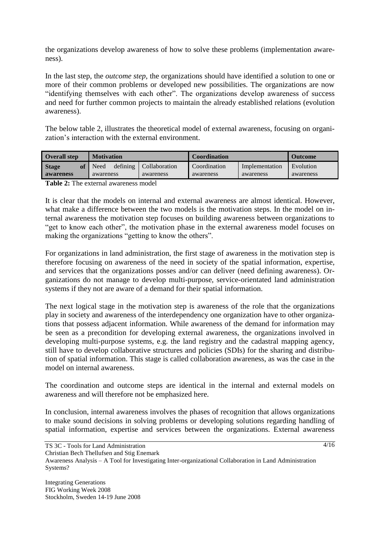the organizations develop awareness of how to solve these problems (implementation awareness).

In the last step, the *outcome step*, the organizations should have identified a solution to one or more of their common problems or developed new possibilities. The organizations are now "identifying themselves with each other". The organizations develop awareness of success and need for further common projects to maintain the already established relations (evolution awareness).

The below table 2, illustrates the theoretical model of external awareness, focusing on organization's interaction with the external environment.

| <b>Overall step</b>             | <b>Motivation</b>             |                            | <b>Coordination</b>       | <b>Outcome</b>              |                        |
|---------------------------------|-------------------------------|----------------------------|---------------------------|-----------------------------|------------------------|
| <b>Stage</b><br>of<br>awareness | defining<br>Need<br>awareness | Collaboration<br>awareness | Coordination<br>awareness | Implementation<br>awareness | Evolution<br>awareness |

**Table 2:** The external awareness model

It is clear that the models on internal and external awareness are almost identical. However, what make a difference between the two models is the motivation steps. In the model on internal awareness the motivation step focuses on building awareness between organizations to "get to know each other", the motivation phase in the external awareness model focuses on making the organizations "getting to know the others".

For organizations in land administration, the first stage of awareness in the motivation step is therefore focusing on awareness of the need in society of the spatial information, expertise, and services that the organizations posses and/or can deliver (need defining awareness). Organizations do not manage to develop multi-purpose, service-orientated land administration systems if they not are aware of a demand for their spatial information.

The next logical stage in the motivation step is awareness of the role that the organizations play in society and awareness of the interdependency one organization have to other organizations that possess adjacent information. While awareness of the demand for information may be seen as a precondition for developing external awareness, the organizations involved in developing multi-purpose systems, e.g. the land registry and the cadastral mapping agency, still have to develop collaborative structures and policies (SDIs) for the sharing and distribution of spatial information. This stage is called collaboration awareness, as was the case in the model on internal awareness.

The coordination and outcome steps are identical in the internal and external models on awareness and will therefore not be emphasized here.

In conclusion, internal awareness involves the phases of recognition that allows organizations to make sound decisions in solving problems or developing solutions regarding handling of spatial information, expertise and services between the organizations. External awareness

Awareness Analysis – A Tool for Investigating Inter-organizational Collaboration in Land Administration Systems?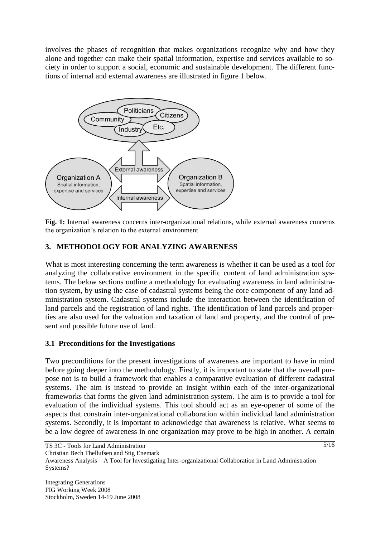involves the phases of recognition that makes organizations recognize why and how they alone and together can make their spatial information, expertise and services available to society in order to support a social, economic and sustainable development. The different functions of internal and external awareness are illustrated in figure 1 below.



**Fig. 1:** Internal awareness concerns inter-organizational relations, while external awareness concerns the organization's relation to the external environment

## **3. METHODOLOGY FOR ANALYZING AWARENESS**

What is most interesting concerning the term awareness is whether it can be used as a tool for analyzing the collaborative environment in the specific content of land administration systems. The below sections outline a methodology for evaluating awareness in land administration system, by using the case of cadastral systems being the core component of any land administration system. Cadastral systems include the interaction between the identification of land parcels and the registration of land rights. The identification of land parcels and properties are also used for the valuation and taxation of land and property, and the control of present and possible future use of land.

### **3.1 Preconditions for the Investigations**

Two preconditions for the present investigations of awareness are important to have in mind before going deeper into the methodology. Firstly, it is important to state that the overall purpose not is to build a framework that enables a comparative evaluation of different cadastral systems. The aim is instead to provide an insight within each of the inter-organizational frameworks that forms the given land administration system. The aim is to provide a tool for evaluation of the individual systems. This tool should act as an eye-opener of some of the aspects that constrain inter-organizational collaboration within individual land administration systems. Secondly, it is important to acknowledge that awareness is relative. What seems to be a low degree of awareness in one organization may prove to be high in another. A certain

Christian Bech Thellufsen and Stig Enemark

Awareness Analysis – A Tool for Investigating Inter-organizational Collaboration in Land Administration Systems?

Integrating Generations FIG Working Week 2008 Stockholm, Sweden 14-19 June 2008

TS 3C - Tools for Land Administration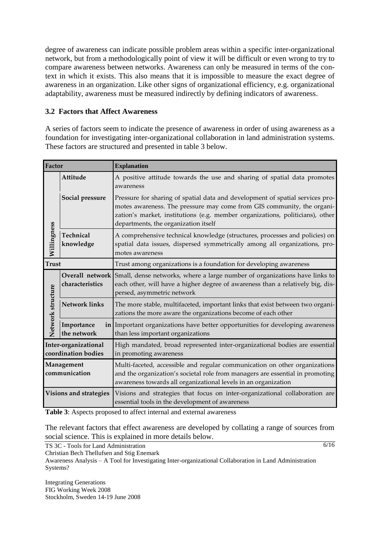degree of awareness can indicate possible problem areas within a specific inter-organizational network, but from a methodologically point of view it will be difficult or even wrong to try to compare awareness between networks. Awareness can only be measured in terms of the context in which it exists. This also means that it is impossible to measure the exact degree of awareness in an organization. Like other signs of organizational efficiency, e.g. organizational adaptability, awareness must be measured indirectly by defining indicators of awareness.

## **3.2 Factors that Affect Awareness**

A series of factors seem to indicate the presence of awareness in order of using awareness as a foundation for investigating inter-organizational collaboration in land administration systems. These factors are structured and presented in table 3 below.

| Factor                                      |                                    | <b>Explanation</b>                                                                                                                                                                                                                                                               |
|---------------------------------------------|------------------------------------|----------------------------------------------------------------------------------------------------------------------------------------------------------------------------------------------------------------------------------------------------------------------------------|
|                                             | Attitude                           | A positive attitude towards the use and sharing of spatial data promotes<br>awareness                                                                                                                                                                                            |
|                                             | Social pressure                    | Pressure for sharing of spatial data and development of spatial services pro-<br>motes awareness. The pressure may come from GIS community, the organi-<br>zation's market, institutions (e.g. member organizations, politicians), other<br>departments, the organization itself |
| Willingness                                 | Technical<br>knowledge             | A comprehensive technical knowledge (structures, processes and policies) on<br>spatial data issues, dispersed symmetrically among all organizations, pro-<br>motes awareness                                                                                                     |
| <b>Trust</b>                                |                                    | Trust among organizations is a foundation for developing awareness                                                                                                                                                                                                               |
|                                             | Overall network<br>characteristics | Small, dense networks, where a large number of organizations have links to<br>each other, will have a higher degree of awareness than a relatively big, dis-<br>persed, asymmetric network                                                                                       |
| Network structure                           | <b>Network links</b>               | The more stable, multifaceted, important links that exist between two organi-<br>zations the more aware the organizations become of each other                                                                                                                                   |
|                                             | Importance<br>the network          | in Important organizations have better opportunities for developing awareness<br>than less important organizations                                                                                                                                                               |
| Inter-organizational<br>coordination bodies |                                    | High mandated, broad represented inter-organizational bodies are essential<br>in promoting awareness                                                                                                                                                                             |
| Management<br>communication                 |                                    | Multi-faceted, accessible and regular communication on other organizations<br>and the organization's societal role from managers are essential in promoting<br>awareness towards all organizational levels in an organization                                                    |
| Visions and strategies                      |                                    | Visions and strategies that focus on inter-organizational collaboration are<br>essential tools in the development of awareness                                                                                                                                                   |

**Table 3**: Aspects proposed to affect internal and external awareness

The relevant factors that effect awareness are developed by collating a range of sources from social science. This is explained in more details below.

TS 3C - Tools for Land Administration

Christian Bech Thellufsen and Stig Enemark

Awareness Analysis – A Tool for Investigating Inter-organizational Collaboration in Land Administration Systems?

Integrating Generations FIG Working Week 2008 Stockholm, Sweden 14-19 June 2008  $\frac{6}{16}$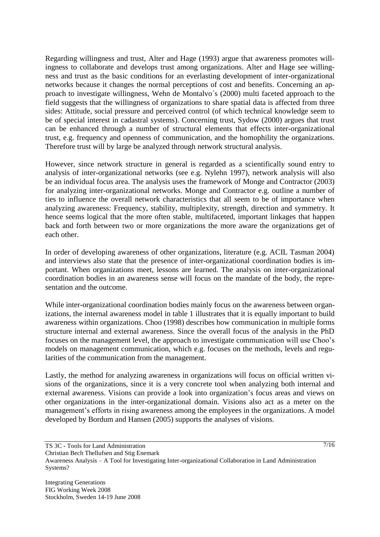Regarding willingness and trust, Alter and Hage (1993) argue that awareness promotes willingness to collaborate and develops trust among organizations. Alter and Hage see willingness and trust as the basic conditions for an everlasting development of inter-organizational networks because it changes the normal perceptions of cost and benefits. Concerning an approach to investigate willingness, Wehn de Montalvo´s (2000) multi faceted approach to the field suggests that the willingness of organizations to share spatial data is affected from three sides: Attitude, social pressure and perceived control (of which technical knowledge seem to be of special interest in cadastral systems). Concerning trust, Sydow (2000) argues that trust can be enhanced through a number of structural elements that effects inter-organizational trust, e.g. frequency and openness of communication, and the homophility the organizations. Therefore trust will by large be analyzed through network structural analysis.

However, since network structure in general is regarded as a scientifically sound entry to analysis of inter-organizational networks (see e.g. Nylehn 1997), network analysis will also be an individual focus area. The analysis uses the framework of Monge and Contractor (2003) for analyzing inter-organizational networks. Monge and Contractor e.g. outline a number of ties to influence the overall network characteristics that all seem to be of importance when analyzing awareness: Frequency, stability, multiplexity, strength, direction and symmetry. It hence seems logical that the more often stable, multifaceted, important linkages that happen back and forth between two or more organizations the more aware the organizations get of each other.

In order of developing awareness of other organizations, literature (e.g. ACIL Tasman 2004) and interviews also state that the presence of inter-organizational coordination bodies is important. When organizations meet, lessons are learned. The analysis on inter-organizational coordination bodies in an awareness sense will focus on the mandate of the body, the representation and the outcome.

While inter-organizational coordination bodies mainly focus on the awareness between organizations, the internal awareness model in table 1 illustrates that it is equally important to build awareness within organizations. Choo (1998) describes how communication in multiple forms structure internal and external awareness. Since the overall focus of the analysis in the PhD focuses on the management level, the approach to investigate communication will use Choo's models on management communication, which e.g. focuses on the methods, levels and regularities of the communication from the management.

Lastly, the method for analyzing awareness in organizations will focus on official written visions of the organizations, since it is a very concrete tool when analyzing both internal and external awareness. Visions can provide a look into organization's focus areas and views on other organizations in the inter-organizational domain. Visions also act as a meter on the management's efforts in rising awareness among the employees in the organizations. A model developed by Bordum and Hansen (2005) supports the analyses of visions.

TS 3C - Tools for Land Administration

Awareness Analysis – A Tool for Investigating Inter-organizational Collaboration in Land Administration Systems?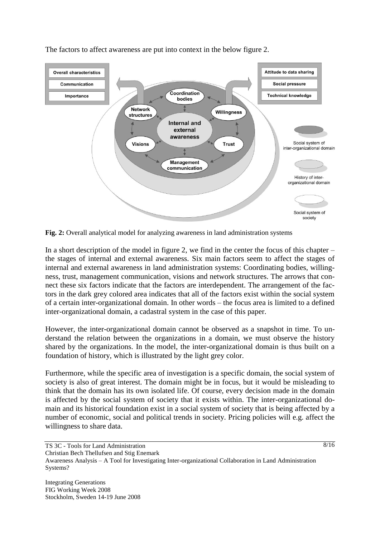

The factors to affect awareness are put into context in the below figure 2.

**Fig. 2:** Overall analytical model for analyzing awareness in land administration systems

In a short description of the model in figure 2, we find in the center the focus of this chapter – the stages of internal and external awareness. Six main factors seem to affect the stages of internal and external awareness in land administration systems: Coordinating bodies, willingness, trust, management communication, visions and network structures. The arrows that connect these six factors indicate that the factors are interdependent. The arrangement of the factors in the dark grey colored area indicates that all of the factors exist within the social system of a certain inter-organizational domain. In other words – the focus area is limited to a defined inter-organizational domain, a cadastral system in the case of this paper.

However, the inter-organizational domain cannot be observed as a snapshot in time. To understand the relation between the organizations in a domain, we must observe the history shared by the organizations. In the model, the inter-organizational domain is thus built on a foundation of history, which is illustrated by the light grey color.

Furthermore, while the specific area of investigation is a specific domain, the social system of society is also of great interest. The domain might be in focus, but it would be misleading to think that the domain has its own isolated life. Of course, every decision made in the domain is affected by the social system of society that it exists within. The inter-organizational domain and its historical foundation exist in a social system of society that is being affected by a number of economic, social and political trends in society. Pricing policies will e.g. affect the willingness to share data.

TS 3C - Tools for Land Administration Christian Bech Thellufsen and Stig Enemark Awareness Analysis – A Tool for Investigating Inter-organizational Collaboration in Land Administration Systems?

Integrating Generations FIG Working Week 2008 Stockholm, Sweden 14-19 June 2008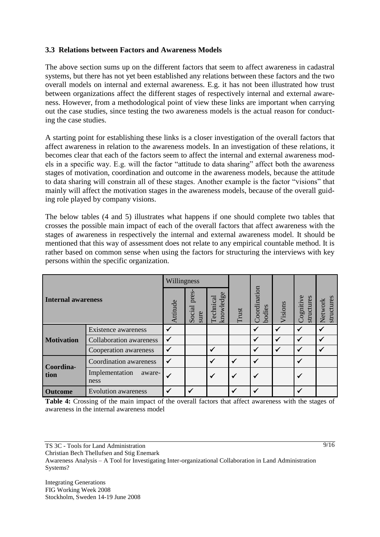#### **3.3 Relations between Factors and Awareness Models**

The above section sums up on the different factors that seem to affect awareness in cadastral systems, but there has not yet been established any relations between these factors and the two overall models on internal and external awareness. E.g. it has not been illustrated how trust between organizations affect the different stages of respectively internal and external awareness. However, from a methodological point of view these links are important when carrying out the case studies, since testing the two awareness models is the actual reason for conducting the case studies.

A starting point for establishing these links is a closer investigation of the overall factors that affect awareness in relation to the awareness models. In an investigation of these relations, it becomes clear that each of the factors seem to affect the internal and external awareness models in a specific way. E.g. will the factor "attitude to data sharing" affect both the awareness stages of motivation, coordination and outcome in the awareness models, because the attitude to data sharing will constrain all of these stages. Another example is the factor "visions" that mainly will affect the motivation stages in the awareness models, because of the overall guiding role played by company visions.

The below tables (4 and 5) illustrates what happens if one should complete two tables that crosses the possible main impact of each of the overall factors that affect awareness with the stages of awareness in respectively the internal and external awareness model. It should be mentioned that this way of assessment does not relate to any empirical countable method. It is rather based on common sense when using the factors for structuring the interviews with key persons within the specific organization.

| <b>Internal awareness</b> |                                  | Willingness  |                         |                        |              |                        |              |                         |                       |
|---------------------------|----------------------------------|--------------|-------------------------|------------------------|--------------|------------------------|--------------|-------------------------|-----------------------|
|                           |                                  | Attitude     | pres-<br>Social<br>sure | knowledge<br>Technical | Trust        | Coordination<br>bodies | Visions      | Cognitive<br>structures | structures<br>Network |
| <b>Motivation</b>         | Existence awareness              | ✓            |                         |                        |              |                        | $\checkmark$ | $\checkmark$            |                       |
|                           | <b>Collaboration</b> awareness   | $\checkmark$ |                         |                        |              | ✓                      | $\checkmark$ | $\checkmark$            | $\checkmark$          |
|                           | Cooperation awareness            | $\checkmark$ |                         | √                      |              |                        | $\checkmark$ | $\checkmark$            | $\checkmark$          |
| Coordina-<br>tion         | Coordination awareness           | $\checkmark$ |                         |                        | $\checkmark$ | $\checkmark$           |              |                         |                       |
|                           | Implementation<br>aware-<br>ness |              |                         | ✓                      | $\checkmark$ |                        |              |                         |                       |
| <b>Outcome</b>            | <b>Evolution awareness</b>       |              |                         |                        |              |                        |              |                         |                       |

**Table 4:** Crossing of the main impact of the overall factors that affect awareness with the stages of awareness in the internal awareness model

Christian Bech Thellufsen and Stig Enemark

Awareness Analysis – A Tool for Investigating Inter-organizational Collaboration in Land Administration Systems?

Integrating Generations FIG Working Week 2008 Stockholm, Sweden 14-19 June 2008

TS 3C - Tools for Land Administration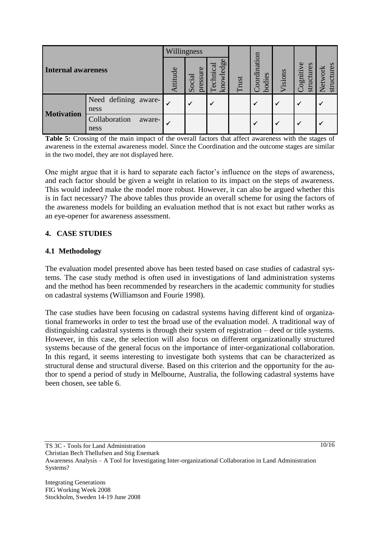| Internal awareness |                                 | Willingness |                    |                               |       |                        |              |                         |                            |
|--------------------|---------------------------------|-------------|--------------------|-------------------------------|-------|------------------------|--------------|-------------------------|----------------------------|
|                    |                                 | ttitude     | pressure<br>Social | knowledge<br><b>Technical</b> | Trust | Coordination<br>bodies | Visions      | Cognitive<br>structures | ces<br>Network<br>structui |
| <b>Motivation</b>  | Need defining aware-<br>ness    |             | ✓                  | V                             |       |                        | $\checkmark$ | $\checkmark$            | √                          |
|                    | Collaboration<br>aware-<br>ness |             |                    |                               |       |                        | $\checkmark$ | $\checkmark$            |                            |

**Table 5:** Crossing of the main impact of the overall factors that affect awareness with the stages of awareness in the external awareness model. Since the Coordination and the outcome stages are similar in the two model, they are not displayed here.

One might argue that it is hard to separate each factor's influence on the steps of awareness, and each factor should be given a weight in relation to its impact on the steps of awareness. This would indeed make the model more robust. However, it can also be argued whether this is in fact necessary? The above tables thus provide an overall scheme for using the factors of the awareness models for building an evaluation method that is not exact but rather works as an eye-opener for awareness assessment.

## **4. CASE STUDIES**

### **4.1 Methodology**

The evaluation model presented above has been tested based on case studies of cadastral systems. The case study method is often used in investigations of land administration systems and the method has been recommended by researchers in the academic community for studies on cadastral systems (Williamson and Fourie 1998).

The case studies have been focusing on cadastral systems having different kind of organizational frameworks in order to test the broad use of the evaluation model. A traditional way of distinguishing cadastral systems is through their system of registration – deed or title systems. However, in this case, the selection will also focus on different organizationally structured systems because of the general focus on the importance of inter-organizational collaboration. In this regard, it seems interesting to investigate both systems that can be characterized as structural dense and structural diverse. Based on this criterion and the opportunity for the author to spend a period of study in Melbourne, Australia, the following cadastral systems have been chosen, see table 6.

TS 3C - Tools for Land Administration

Awareness Analysis – A Tool for Investigating Inter-organizational Collaboration in Land Administration Systems?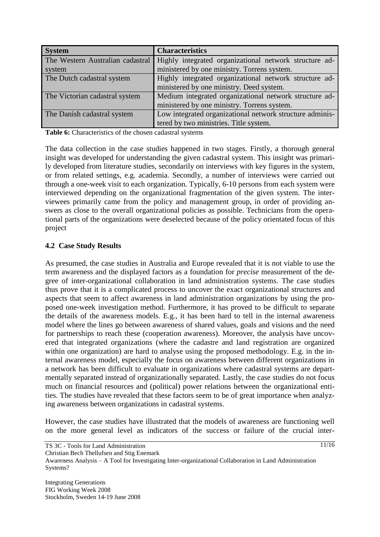| <b>System</b>                    | <b>Characteristics</b>                                   |
|----------------------------------|----------------------------------------------------------|
| The Western Australian cadastral | Highly integrated organizational network structure ad-   |
| system                           | ministered by one ministry. Torrens system.              |
| The Dutch cadastral system       | Highly integrated organizational network structure ad-   |
|                                  | ministered by one ministry. Deed system.                 |
| The Victorian cadastral system   | Medium integrated organizational network structure ad-   |
|                                  | ministered by one ministry. Torrens system.              |
| The Danish cadastral system      | Low integrated organizational network structure adminis- |
|                                  | tered by two ministries. Title system.                   |

**Table 6:** Characteristics of the chosen cadastral systems

The data collection in the case studies happened in two stages. Firstly, a thorough general insight was developed for understanding the given cadastral system. This insight was primarily developed from literature studies, secondarily on interviews with key figures in the system, or from related settings, e.g. academia. Secondly, a number of interviews were carried out through a one-week visit to each organization. Typically, 6-10 persons from each system were interviewed depending on the organizational fragmentation of the given system. The interviewees primarily came from the policy and management group, in order of providing answers as close to the overall organizational policies as possible. Technicians from the operational parts of the organizations were deselected because of the policy orientated focus of this project

## **4.2 Case Study Results**

As presumed, the case studies in Australia and Europe revealed that it is not viable to use the term awareness and the displayed factors as a foundation for *precise* measurement of the degree of inter-organizational collaboration in land administration systems. The case studies thus prove that it is a complicated process to uncover the exact organizational structures and aspects that seem to affect awareness in land administration organizations by using the proposed one-week investigation method. Furthermore, it has proved to be difficult to separate the details of the awareness models. E.g., it has been hard to tell in the internal awareness model where the lines go between awareness of shared values, goals and visions and the need for partnerships to reach these (cooperation awareness). Moreover, the analysis have uncovered that integrated organizations (where the cadastre and land registration are organized within one organization) are hard to analyse using the proposed methodology. E.g. in the internal awareness model, especially the focus on awareness between different organizations in a network has been difficult to evaluate in organizations where cadastral systems are departmentally separated instead of organizationally separated. Lastly, the case studies do not focus much on financial resources and (political) power relations between the organizational entities. The studies have revealed that these factors seem to be of great importance when analyzing awareness between organizations in cadastral systems.

However, the case studies have illustrated that the models of awareness are functioning well on the more general level as indicators of the success or failure of the crucial inter-

TS 3C - Tools for Land Administration

Awareness Analysis – A Tool for Investigating Inter-organizational Collaboration in Land Administration Systems?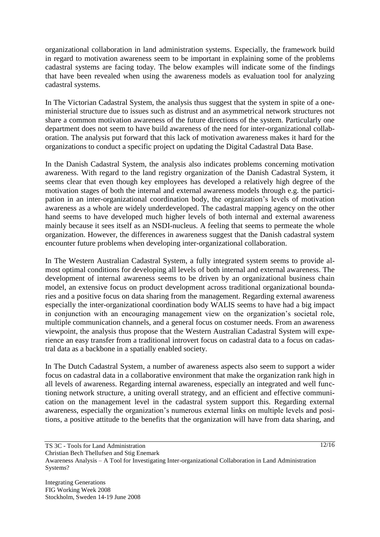organizational collaboration in land administration systems. Especially, the framework build in regard to motivation awareness seem to be important in explaining some of the problems cadastral systems are facing today. The below examples will indicate some of the findings that have been revealed when using the awareness models as evaluation tool for analyzing cadastral systems.

In The Victorian Cadastral System, the analysis thus suggest that the system in spite of a oneministerial structure due to issues such as distrust and an asymmetrical network structures not share a common motivation awareness of the future directions of the system. Particularly one department does not seem to have build awareness of the need for inter-organizational collaboration. The analysis put forward that this lack of motivation awareness makes it hard for the organizations to conduct a specific project on updating the Digital Cadastral Data Base.

In the Danish Cadastral System, the analysis also indicates problems concerning motivation awareness. With regard to the land registry organization of the Danish Cadastral System, it seems clear that even though key employees has developed a relatively high degree of the motivation stages of both the internal and external awareness models through e.g. the participation in an inter-organizational coordination body, the organization's levels of motivation awareness as a whole are widely underdeveloped. The cadastral mapping agency on the other hand seems to have developed much higher levels of both internal and external awareness mainly because it sees itself as an NSDI-nucleus. A feeling that seems to permeate the whole organization. However, the differences in awareness suggest that the Danish cadastral system encounter future problems when developing inter-organizational collaboration.

In The Western Australian Cadastral System, a fully integrated system seems to provide almost optimal conditions for developing all levels of both internal and external awareness. The development of internal awareness seems to be driven by an organizational business chain model, an extensive focus on product development across traditional organizational boundaries and a positive focus on data sharing from the management. Regarding external awareness especially the inter-organizational coordination body WALIS seems to have had a big impact in conjunction with an encouraging management view on the organization's societal role, multiple communication channels, and a general focus on costumer needs. From an awareness viewpoint, the analysis thus propose that the Western Australian Cadastral System will experience an easy transfer from a traditional introvert focus on cadastral data to a focus on cadastral data as a backbone in a spatially enabled society.

In The Dutch Cadastral System, a number of awareness aspects also seem to support a wider focus on cadastral data in a collaborative environment that make the organization rank high in all levels of awareness. Regarding internal awareness, especially an integrated and well functioning network structure, a uniting overall strategy, and an efficient and effective communication on the management level in the cadastral system support this. Regarding external awareness, especially the organization's numerous external links on multiple levels and positions, a positive attitude to the benefits that the organization will have from data sharing, and

TS 3C - Tools for Land Administration

Christian Bech Thellufsen and Stig Enemark

Awareness Analysis – A Tool for Investigating Inter-organizational Collaboration in Land Administration Systems?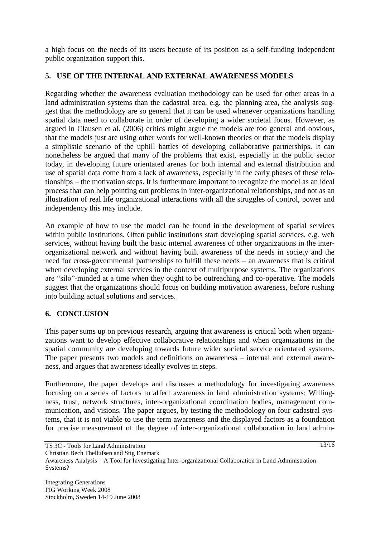a high focus on the needs of its users because of its position as a self-funding independent public organization support this.

# **5. USE OF THE INTERNAL AND EXTERNAL AWARENESS MODELS**

Regarding whether the awareness evaluation methodology can be used for other areas in a land administration systems than the cadastral area, e.g. the planning area, the analysis suggest that the methodology are so general that it can be used whenever organizations handling spatial data need to collaborate in order of developing a wider societal focus. However, as argued in Clausen et al. (2006) critics might argue the models are too general and obvious, that the models just are using other words for well-known theories or that the models display a simplistic scenario of the uphill battles of developing collaborative partnerships. It can nonetheless be argued that many of the problems that exist, especially in the public sector today, in developing future orientated arenas for both internal and external distribution and use of spatial data come from a lack of awareness, especially in the early phases of these relationships – the motivation steps. It is furthermore important to recognize the model as an ideal process that can help pointing out problems in inter-organizational relationships, and not as an illustration of real life organizational interactions with all the struggles of control, power and independency this may include.

An example of how to use the model can be found in the development of spatial services within public institutions. Often public institutions start developing spatial services, e.g. web services, without having built the basic internal awareness of other organizations in the interorganizational network and without having built awareness of the needs in society and the need for cross-governmental partnerships to fulfill these needs – an awareness that is critical when developing external services in the context of multipurpose systems. The organizations are "silo"-minded at a time when they ought to be outreaching and co-operative. The models suggest that the organizations should focus on building motivation awareness, before rushing into building actual solutions and services.

# **6. CONCLUSION**

This paper sums up on previous research, arguing that awareness is critical both when organizations want to develop effective collaborative relationships and when organizations in the spatial community are developing towards future wider societal service orientated systems. The paper presents two models and definitions on awareness – internal and external awareness, and argues that awareness ideally evolves in steps.

Furthermore, the paper develops and discusses a methodology for investigating awareness focusing on a series of factors to affect awareness in land administration systems: Willingness, trust, network structures, inter-organizational coordination bodies, management communication, and visions. The paper argues, by testing the methodology on four cadastral systems, that it is not viable to use the term awareness and the displayed factors as a foundation for precise measurement of the degree of inter-organizational collaboration in land admin-

Awareness Analysis – A Tool for Investigating Inter-organizational Collaboration in Land Administration Systems?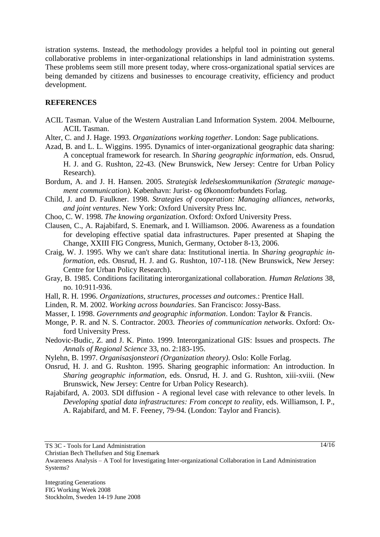istration systems. Instead, the methodology provides a helpful tool in pointing out general collaborative problems in inter-organizational relationships in land administration systems. These problems seem still more present today, where cross-organizational spatial services are being demanded by citizens and businesses to encourage creativity, efficiency and product development.

#### **REFERENCES**

- ACIL Tasman. Value of the Western Australian Land Information System. 2004. Melbourne, ACIL Tasman.
- Alter, C. and J. Hage. 1993. *Organizations working together*. London: Sage publications.
- Azad, B. and L. L. Wiggins. 1995. Dynamics of inter-organizational geographic data sharing: A conceptual framework for research. In *Sharing geographic information*, eds. Onsrud, H. J. and G. Rushton, 22-43. (New Brunswick, New Jersey: Centre for Urban Policy Research).
- Bordum, A. and J. H. Hansen. 2005. *Strategisk ledelseskommunikation (Strategic management communication)*. København: Jurist- og Økonomforbundets Forlag.
- Child, J. and D. Faulkner. 1998. *Strategies of cooperation: Managing alliances, networks, and joint ventures*. New York: Oxford University Press Inc.
- Choo, C. W. 1998. *The knowing organization*. Oxford: Oxford University Press.
- Clausen, C., A. Rajabifard, S. Enemark, and I. Williamson. 2006. Awareness as a foundation for developing effective spatial data infrastructures. Paper presented at Shaping the Change, XXIII FIG Congress, Munich, Germany, October 8-13, 2006.
- Craig, W. J. 1995. Why we can't share data: Institutional inertia. In *Sharing geographic information*, eds. Onsrud, H. J. and G. Rushton, 107-118. (New Brunswick, New Jersey: Centre for Urban Policy Research).
- Gray, B. 1985. Conditions facilitating interorganizational collaboration. *Human Relations* 38, no. 10:911-936.
- Hall, R. H. 1996. *Organizations, structures, processes and outcomes*.: Prentice Hall.
- Linden, R. M. 2002. *Working across boundaries*. San Francisco: Jossy-Bass.
- Masser, I. 1998. *Governments and geographic information*. London: Taylor & Francis.
- Monge, P. R. and N. S. Contractor. 2003. *Theories of communication networks*. Oxford: Oxford University Press.
- Nedovic-Budic, Z. and J. K. Pinto. 1999. Interorganizational GIS: Issues and prospects. *The Annals of Regional Science* 33, no. 2:183-195.
- Nylehn, B. 1997. *Organisasjonsteori (Organization theory)*. Oslo: Kolle Forlag.
- Onsrud, H. J. and G. Rushton. 1995. Sharing geographic information: An introduction. In *Sharing geographic information*, eds. Onsrud, H. J. and G. Rushton, xiii-xviii. (New Brunswick, New Jersey: Centre for Urban Policy Research).
- Rajabifard, A. 2003. SDI diffusion A regional level case with relevance to other levels. In *Developing spatial data infrastructures: From concept to reality*, eds. Williamson, I. P., A. Rajabifard, and M. F. Feeney, 79-94. (London: Taylor and Francis).

Christian Bech Thellufsen and Stig Enemark

TS 3C - Tools for Land Administration

Awareness Analysis – A Tool for Investigating Inter-organizational Collaboration in Land Administration Systems?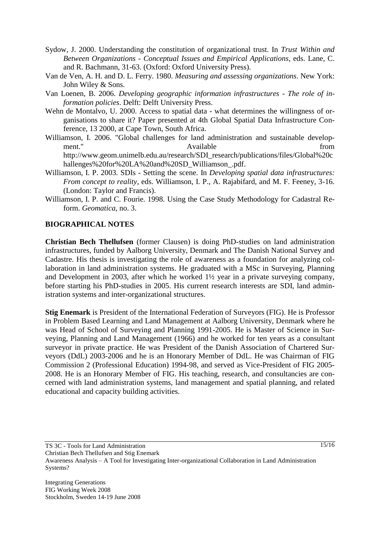- Sydow, J. 2000. Understanding the constitution of organizational trust. In *Trust Within and Between Organizations - Conceptual Issues and Empirical Applications*, eds. Lane, C. and R. Bachmann, 31-63. (Oxford: Oxford University Press).
- Van de Ven, A. H. and D. L. Ferry. 1980. *Measuring and assessing organizations*. New York: John Wiley & Sons.
- Van Loenen, B. 2006. *Developing geographic information infrastructures - The role of information policies*. Delft: Delft University Press.
- Wehn de Montalvo, U. 2000. Access to spatial data what determines the willingness of organisations to share it? Paper presented at 4th Global Spatial Data Infrastructure Conference, 13 2000, at Cape Town, South Africa.
- Williamson, I. 2006. "Global challenges for land administration and sustainable development." Available from  $\alpha$  Available from  $\alpha$ http://www.geom.unimelb.edu.au/research/SDI\_research/publications/files/Global%20c hallenges%20for%20LA%20and%20SD\_Williamson\_.pdf.
- Williamson, I. P. 2003. SDIs Setting the scene. In *Developing spatial data infrastructures: From concept to reality*, eds. Williamson, I. P., A. Rajabifard, and M. F. Feeney, 3-16. (London: Taylor and Francis).
- Williamson, I. P. and C. Fourie. 1998. Using the Case Study Methodology for Cadastral Reform. *Geomatica*, no. 3.

#### **BIOGRAPHICAL NOTES**

**Christian Bech Thellufsen** (former Clausen) is doing PhD-studies on land administration infrastructures, funded by Aalborg University, Denmark and The Danish National Survey and Cadastre. His thesis is investigating the role of awareness as a foundation for analyzing collaboration in land administration systems. He graduated with a MSc in Surveying, Planning and Development in 2003, after which he worked 1½ year in a private surveying company, before starting his PhD-studies in 2005. His current research interests are SDI, land administration systems and inter-organizational structures.

**Stig Enemark** is President of the International Federation of Surveyors (FIG). He is Professor in Problem Based Learning and Land Management at Aalborg University, Denmark where he was Head of School of Surveying and Planning 1991-2005. He is Master of Science in Surveying, Planning and Land Management (1966) and he worked for ten years as a consultant surveyor in private practice. He was President of the Danish Association of Chartered Surveyors (DdL) 2003-2006 and he is an Honorary Member of DdL. He was Chairman of FIG Commission 2 (Professional Education) 1994-98, and served as Vice-President of FIG 2005- 2008. He is an Honorary Member of FIG. His teaching, research, and consultancies are concerned with land administration systems, land management and spatial planning, and related educational and capacity building activities.

Christian Bech Thellufsen and Stig Enemark

TS 3C - Tools for Land Administration

Awareness Analysis – A Tool for Investigating Inter-organizational Collaboration in Land Administration Systems?